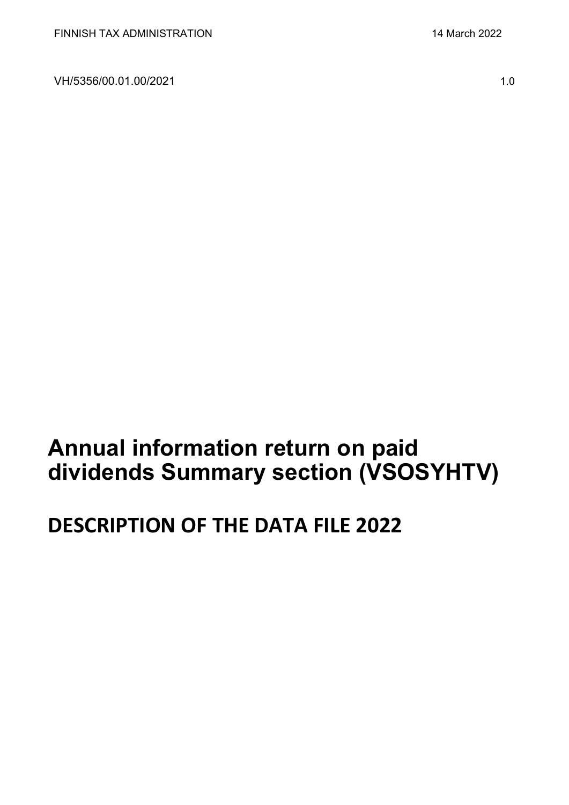VH/5356/00.01.00/2021 1.0

# **Annual information return on paid dividends Summary section (VSOSYHTV)**

# **DESCRIPTION OF THE DATA FILE 2022**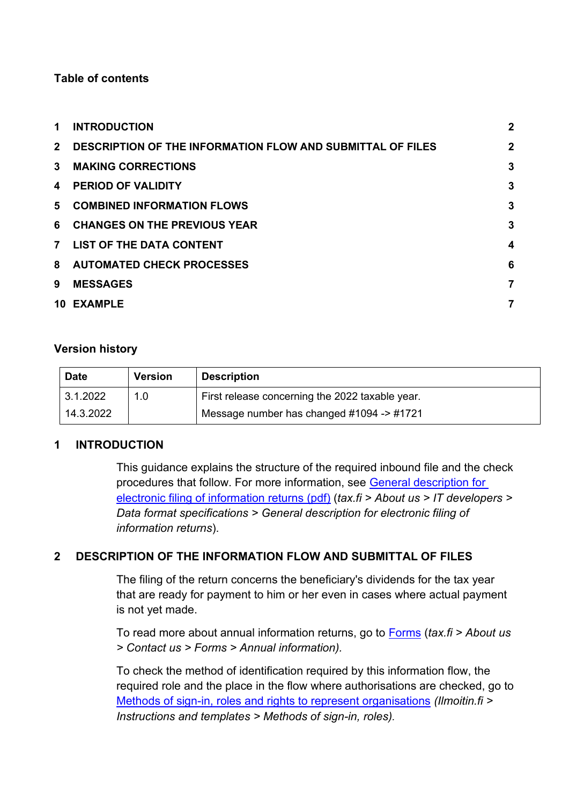# **Table of contents**

| 1.             | <b>INTRODUCTION</b>                                               | $\overline{2}$   |
|----------------|-------------------------------------------------------------------|------------------|
| $2^{\circ}$    | <b>DESCRIPTION OF THE INFORMATION FLOW AND SUBMITTAL OF FILES</b> | $\mathbf{2}$     |
| $\mathbf{3}$   | <b>MAKING CORRECTIONS</b>                                         | 3                |
| 4              | <b>PERIOD OF VALIDITY</b>                                         | 3                |
| 5              | <b>COMBINED INFORMATION FLOWS</b>                                 | 3                |
| 6              | <b>CHANGES ON THE PREVIOUS YEAR</b>                               | 3                |
| $\overline{7}$ | <b>LIST OF THE DATA CONTENT</b>                                   | $\boldsymbol{4}$ |
| 8              | <b>AUTOMATED CHECK PROCESSES</b>                                  | 6                |
| 9              | <b>MESSAGES</b>                                                   | 7                |
|                | 10 EXAMPLE                                                        | 7                |

# **Version history**

| <b>Date</b> | <b>Version</b> | <b>Description</b>                              |
|-------------|----------------|-------------------------------------------------|
| 3.1.2022    | 1.0            | First release concerning the 2022 taxable year. |
| 14.3.2022   |                | Message number has changed #1094 -> #1721       |

# <span id="page-1-0"></span>**1 INTRODUCTION**

This guidance explains the structure of the required inbound file and the check procedures that follow. For more information, see [General description for](https://www.vero.fi/globalassets/tietoa-verohallinnosta/ohjelmistokehittajille/finnish-tax-administration_electronic-filing-of-information-returns-general-description.pdf)  [electronic filing of information returns \(pdf\)](https://www.vero.fi/globalassets/tietoa-verohallinnosta/ohjelmistokehittajille/finnish-tax-administration_electronic-filing-of-information-returns-general-description.pdf) (*tax.fi > About us > IT developers > Data format specifications > General description for electronic filing of information returns*).

# <span id="page-1-1"></span>**2 DESCRIPTION OF THE INFORMATION FLOW AND SUBMITTAL OF FILES**

The filing of the return concerns the beneficiary's dividends for the tax year that are ready for payment to him or her even in cases where actual payment is not yet made.

To read more about annual information returns, go to [Forms](https://www.vero.fi/en/About-us/contact-us/forms/) (*tax.fi > About us > Contact us > Forms > Annual information).*

To check the method of identification required by this information flow, the required role and the place in the flow where authorisations are checked, go to [Methods of sign-in, roles and rights to represent organisations](https://www.ilmoitin.fi/webtamo/sivut/IlmoituslajiRoolit?kieli=en&tv=VSOSYHTV) *[\(Ilmoitin.fi >](https://www.ilmoitin.fi/webtamo/sivut/IlmoituslajiRoolit?tv=VSY02C)  [Instructions and templates > Methods of sign-in, roles\)](https://www.ilmoitin.fi/webtamo/sivut/IlmoituslajiRoolit?tv=VSY02C).*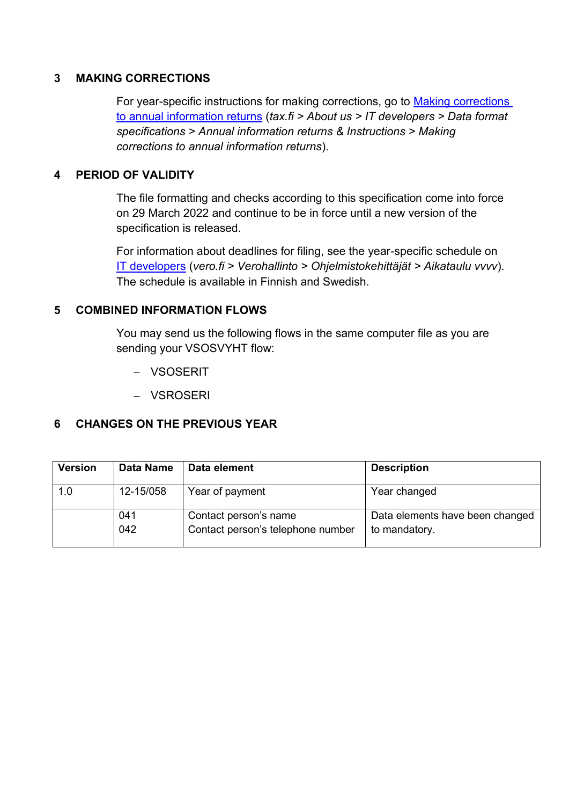### <span id="page-2-0"></span>**3 MAKING CORRECTIONS**

For year-specific instructions for making corrections, go to [Making corrections](https://www.vero.fi/en/About-us/it_developer/data-format-specifications/annual_information_returns__instruction/making-corrections-to-annual-information-returns/)  to annual [information returns](https://www.vero.fi/en/About-us/it_developer/data-format-specifications/annual_information_returns__instruction/making-corrections-to-annual-information-returns/) (*tax.fi > About us > IT developers > Data format specifications > Annual information returns & Instructions > Making corrections to annual information returns*).

#### <span id="page-2-1"></span>**4 PERIOD OF VALIDITY**

The file formatting and checks according to this specification come into force on 29 March 2022 and continue to be in force until a new version of the specification is released.

For information about deadlines for filing, see the year-specific schedule on IT [developers](https://www.vero.fi/tietoa-verohallinnosta/kehittaja/aikataulu-2021/) (*vero.fi > Verohallinto > Ohjelmistokehittäjät > Aikataulu vvvv*). The schedule is available in Finnish and Swedish.

#### <span id="page-2-2"></span>**5 COMBINED INFORMATION FLOWS**

You may send us the following flows in the same computer file as you are sending your VSOSVYHT flow:

- − VSOSERIT
- − VSROSERI

# <span id="page-2-3"></span>**6 CHANGES ON THE PREVIOUS YEAR**

| <b>Version</b> | Data Name  | Data element                                               | <b>Description</b>                               |
|----------------|------------|------------------------------------------------------------|--------------------------------------------------|
| 1.0            | 12-15/058  | Year of payment                                            | Year changed                                     |
|                | 041<br>042 | Contact person's name<br>Contact person's telephone number | Data elements have been changed<br>to mandatory. |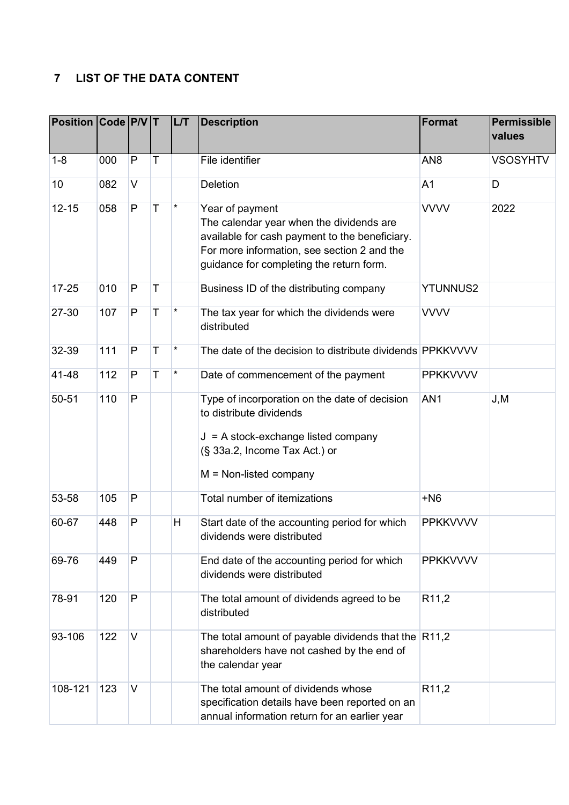# <span id="page-3-0"></span>**7 LIST OF THE DATA CONTENT**

| Position Code P/V T |     |              |             | LT       | <b>Description</b>                                                                                                                                                                                       | <b>Format</b>     | Permissible<br>values |
|---------------------|-----|--------------|-------------|----------|----------------------------------------------------------------------------------------------------------------------------------------------------------------------------------------------------------|-------------------|-----------------------|
| $1 - 8$             | 000 | $\mathsf{P}$ | T           |          | File identifier                                                                                                                                                                                          | AN <sub>8</sub>   | <b>VSOSYHTV</b>       |
| 10                  | 082 | $\vee$       |             |          | <b>Deletion</b>                                                                                                                                                                                          | A <sub>1</sub>    | D                     |
| $12 - 15$           | 058 | P            | T           | $\star$  | Year of payment<br>The calendar year when the dividends are<br>available for cash payment to the beneficiary.<br>For more information, see section 2 and the<br>guidance for completing the return form. | <b>VVVV</b>       | 2022                  |
| $17 - 25$           | 010 | $\mathsf{P}$ | T           |          | Business ID of the distributing company                                                                                                                                                                  | <b>YTUNNUS2</b>   |                       |
| 27-30               | 107 | $\mathsf{P}$ | T           | $^\star$ | The tax year for which the dividends were<br>distributed                                                                                                                                                 | <b>VVVV</b>       |                       |
| 32-39               | 111 | $\mathsf{P}$ | $\mathsf T$ | $\star$  | The date of the decision to distribute dividends PPKKVVVV                                                                                                                                                |                   |                       |
| 41-48               | 112 | P            | T           | $\star$  | Date of commencement of the payment                                                                                                                                                                      | <b>PPKKVVVV</b>   |                       |
| 50-51               | 110 | $\mathsf{P}$ |             |          | Type of incorporation on the date of decision<br>to distribute dividends<br>$J = A$ stock-exchange listed company<br>(§ 33a.2, Income Tax Act.) or<br>$M = Non-listed company$                           | AN <sub>1</sub>   | J, M                  |
| 53-58               | 105 | P            |             |          | Total number of itemizations                                                                                                                                                                             | $+N6$             |                       |
| 60-67               | 448 | P            |             | H        | Start date of the accounting period for which<br>dividends were distributed                                                                                                                              | <b>PPKKVVVV</b>   |                       |
| 69-76               | 449 | P            |             |          | End date of the accounting period for which<br>dividends were distributed                                                                                                                                | <b>PPKKVVVV</b>   |                       |
| 78-91               | 120 | $\mathsf{P}$ |             |          | The total amount of dividends agreed to be<br>distributed                                                                                                                                                | R <sub>11,2</sub> |                       |
| 93-106              | 122 | $\vee$       |             |          | The total amount of payable dividends that the $ R11,2$<br>shareholders have not cashed by the end of<br>the calendar year                                                                               |                   |                       |
| 108-121             | 123 | $\vee$       |             |          | The total amount of dividends whose<br>specification details have been reported on an<br>annual information return for an earlier year                                                                   | R <sub>11,2</sub> |                       |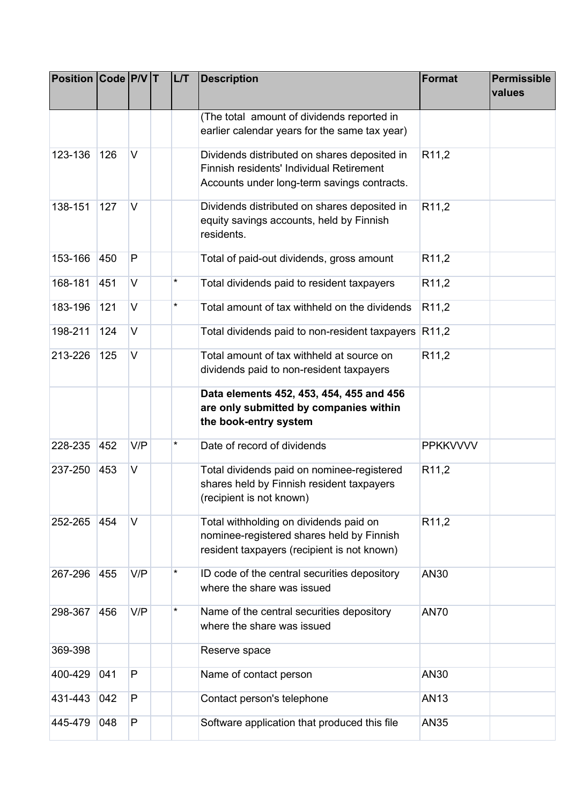| <b>Position Code P/V T</b> |     |        | LL/T     | <b>Description</b>                                                                                                                      | <b>Format</b>     | Permissible<br>values |
|----------------------------|-----|--------|----------|-----------------------------------------------------------------------------------------------------------------------------------------|-------------------|-----------------------|
|                            |     |        |          | (The total amount of dividends reported in<br>earlier calendar years for the same tax year)                                             |                   |                       |
| 123-136                    | 126 | $\vee$ |          | Dividends distributed on shares deposited in<br>Finnish residents' Individual Retirement<br>Accounts under long-term savings contracts. | R <sub>11,2</sub> |                       |
| 138-151                    | 127 | $\vee$ |          | Dividends distributed on shares deposited in<br>equity savings accounts, held by Finnish<br>residents.                                  | R <sub>11,2</sub> |                       |
| 153-166                    | 450 | P      |          | Total of paid-out dividends, gross amount                                                                                               | R <sub>11,2</sub> |                       |
| 168-181                    | 451 | V      | $^\star$ | Total dividends paid to resident taxpayers                                                                                              | R <sub>11,2</sub> |                       |
| 183-196                    | 121 | $\vee$ | $^\star$ | Total amount of tax withheld on the dividends                                                                                           | R <sub>11,2</sub> |                       |
| 198-211                    | 124 | V      |          | Total dividends paid to non-resident taxpayers                                                                                          | R <sub>11,2</sub> |                       |
| 213-226                    | 125 | $\vee$ |          | Total amount of tax withheld at source on<br>dividends paid to non-resident taxpayers                                                   | R <sub>11,2</sub> |                       |
|                            |     |        |          | Data elements 452, 453, 454, 455 and 456<br>are only submitted by companies within<br>the book-entry system                             |                   |                       |
| 228-235                    | 452 | V/P    | $^\star$ | Date of record of dividends                                                                                                             | <b>PPKKVVVV</b>   |                       |
| 237-250                    | 453 | V      |          | Total dividends paid on nominee-registered<br>shares held by Finnish resident taxpayers<br>(recipient is not known)                     | R <sub>11,2</sub> |                       |
| 252-265                    | 454 | $\vee$ |          | Total withholding on dividends paid on<br>nominee-registered shares held by Finnish<br>resident taxpayers (recipient is not known)      | R <sub>11,2</sub> |                       |
| 267-296                    | 455 | V/P    | *        | ID code of the central securities depository<br>where the share was issued                                                              | AN30              |                       |
| 298-367                    | 456 | V/P    |          | Name of the central securities depository<br>where the share was issued                                                                 | <b>AN70</b>       |                       |
| 369-398                    |     |        |          | Reserve space                                                                                                                           |                   |                       |
| 400-429                    | 041 | P      |          | Name of contact person                                                                                                                  | AN30              |                       |
| 431-443                    | 042 | P      |          | Contact person's telephone                                                                                                              | AN13              |                       |
| 445-479                    | 048 | P      |          | Software application that produced this file                                                                                            | <b>AN35</b>       |                       |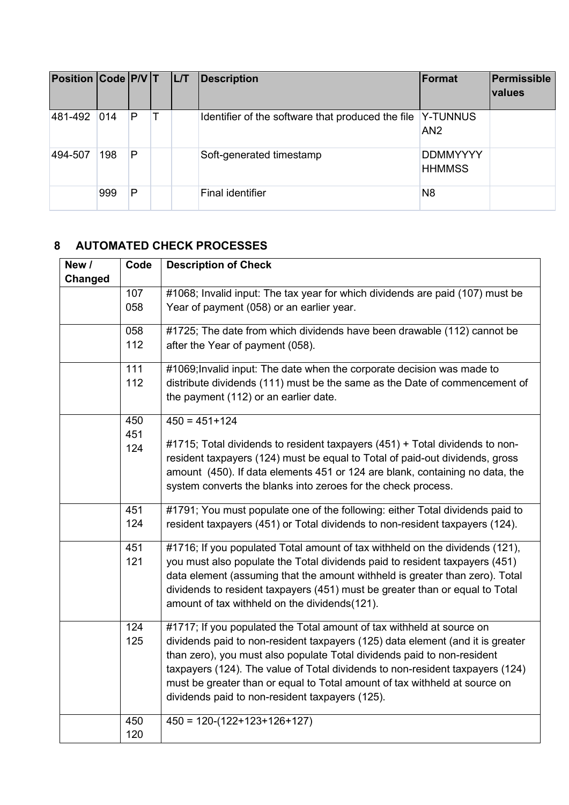| Position Code P/V T L/T |               |   |  | Description                                                | Format                           | Permissible<br>values |
|-------------------------|---------------|---|--|------------------------------------------------------------|----------------------------------|-----------------------|
| 481-492                 | $ 014\rangle$ | P |  | Identifier of the software that produced the file Y-TUNNUS | AN <sub>2</sub>                  |                       |
| 494-507                 | 198           | P |  | Soft-generated timestamp                                   | <b>DDMMYYYY</b><br><b>HHMMSS</b> |                       |
|                         | 999           | P |  | Final identifier                                           | N <sub>8</sub>                   |                       |

# <span id="page-5-0"></span>**8 AUTOMATED CHECK PROCESSES**

| New /   | Code       | <b>Description of Check</b>                                                                                         |
|---------|------------|---------------------------------------------------------------------------------------------------------------------|
| Changed |            |                                                                                                                     |
|         | 107        | #1068; Invalid input: The tax year for which dividends are paid (107) must be                                       |
|         | 058        | Year of payment (058) or an earlier year.                                                                           |
|         | 058        | #1725; The date from which dividends have been drawable (112) cannot be                                             |
|         | 112        | after the Year of payment (058).                                                                                    |
|         | 111        | #1069; Invalid input: The date when the corporate decision was made to                                              |
|         | 112        | distribute dividends (111) must be the same as the Date of commencement of<br>the payment (112) or an earlier date. |
|         | 450<br>451 | $450 = 451 + 124$                                                                                                   |
|         | 124        | #1715; Total dividends to resident taxpayers (451) + Total dividends to non-                                        |
|         |            | resident taxpayers (124) must be equal to Total of paid-out dividends, gross                                        |
|         |            | amount (450). If data elements 451 or 124 are blank, containing no data, the                                        |
|         |            | system converts the blanks into zeroes for the check process.                                                       |
|         | 451        | #1791; You must populate one of the following: either Total dividends paid to                                       |
|         | 124        | resident taxpayers (451) or Total dividends to non-resident taxpayers (124).                                        |
|         | 451        | #1716; If you populated Total amount of tax withheld on the dividends (121),                                        |
|         | 121        | you must also populate the Total dividends paid to resident taxpayers (451)                                         |
|         |            | data element (assuming that the amount withheld is greater than zero). Total                                        |
|         |            | dividends to resident taxpayers (451) must be greater than or equal to Total                                        |
|         |            | amount of tax withheld on the dividends(121).                                                                       |
|         | 124        | #1717; If you populated the Total amount of tax withheld at source on                                               |
|         | 125        | dividends paid to non-resident taxpayers (125) data element (and it is greater                                      |
|         |            | than zero), you must also populate Total dividends paid to non-resident                                             |
|         |            | taxpayers (124). The value of Total dividends to non-resident taxpayers (124)                                       |
|         |            | must be greater than or equal to Total amount of tax withheld at source on                                          |
|         |            | dividends paid to non-resident taxpayers (125).                                                                     |
|         | 450        | $450 = 120-(122+123+126+127)$                                                                                       |
|         | 120        |                                                                                                                     |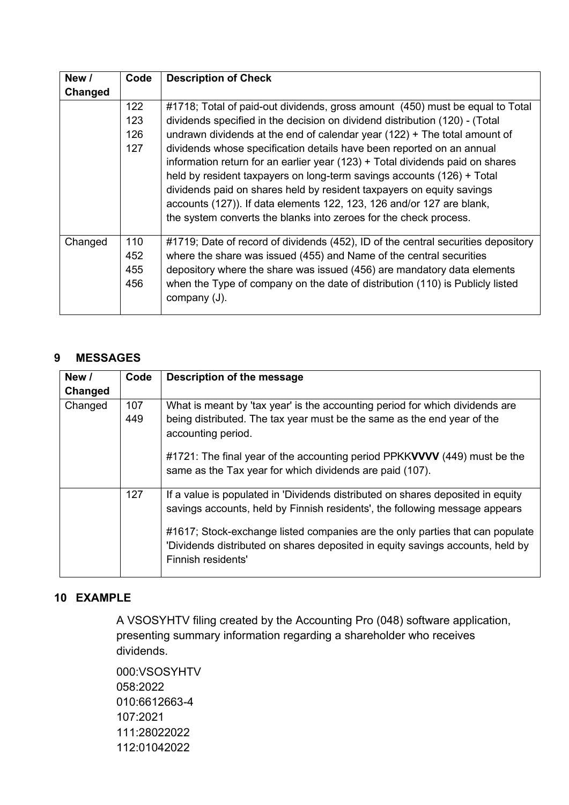| New /   | Code                     | <b>Description of Check</b>                                                                                                                                                                                                                                                                                                                                                                                                                                                                                                                                                                                                                                                                            |
|---------|--------------------------|--------------------------------------------------------------------------------------------------------------------------------------------------------------------------------------------------------------------------------------------------------------------------------------------------------------------------------------------------------------------------------------------------------------------------------------------------------------------------------------------------------------------------------------------------------------------------------------------------------------------------------------------------------------------------------------------------------|
| Changed |                          |                                                                                                                                                                                                                                                                                                                                                                                                                                                                                                                                                                                                                                                                                                        |
|         | 122<br>123<br>126<br>127 | #1718; Total of paid-out dividends, gross amount (450) must be equal to Total<br>dividends specified in the decision on dividend distribution (120) - (Total<br>undrawn dividends at the end of calendar year $(122)$ + The total amount of<br>dividends whose specification details have been reported on an annual<br>information return for an earlier year (123) + Total dividends paid on shares<br>held by resident taxpayers on long-term savings accounts (126) + Total<br>dividends paid on shares held by resident taxpayers on equity savings<br>accounts (127)). If data elements 122, 123, 126 and/or 127 are blank,<br>the system converts the blanks into zeroes for the check process. |
| Changed | 110<br>452<br>455<br>456 | #1719; Date of record of dividends (452), ID of the central securities depository<br>where the share was issued (455) and Name of the central securities<br>depository where the share was issued (456) are mandatory data elements<br>when the Type of company on the date of distribution (110) is Publicly listed<br>company (J).                                                                                                                                                                                                                                                                                                                                                                   |

# <span id="page-6-0"></span>**9 MESSAGES**

| New /<br>Changed | Code       | Description of the message                                                                                                                                                            |
|------------------|------------|---------------------------------------------------------------------------------------------------------------------------------------------------------------------------------------|
| Changed          | 107<br>449 | What is meant by 'tax year' is the accounting period for which dividends are<br>being distributed. The tax year must be the same as the end year of the<br>accounting period.         |
|                  |            | #1721: The final year of the accounting period PPKKVVVV (449) must be the<br>same as the Tax year for which dividends are paid (107).                                                 |
|                  | 127        | If a value is populated in 'Dividends distributed on shares deposited in equity<br>savings accounts, held by Finnish residents', the following message appears                        |
|                  |            | #1617; Stock-exchange listed companies are the only parties that can populate<br>'Dividends distributed on shares deposited in equity savings accounts, held by<br>Finnish residents' |

# <span id="page-6-1"></span>**10 EXAMPLE**

A VSOSYHTV filing created by the Accounting Pro (048) software application, presenting summary information regarding a shareholder who receives dividends.

000:VSOSYHTV 058:2022 010:6612663-4 107:2021 111:28022022 112:01042022